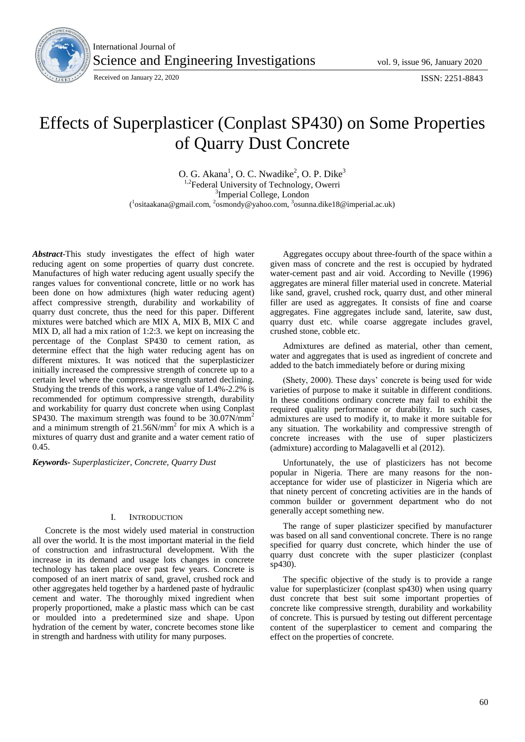

International Journal of Science and Engineering Investigations vol. 9, issue 96, January 2020

# Effects of Superplasticer (Conplast SP430) on Some Properties of Quarry Dust Concrete

O. G. Akana<sup>1</sup>, O. C. Nwadike<sup>2</sup>, O. P. Dike<sup>3</sup> <sup>1,2</sup>Federal University of Technology, Owerri <sup>3</sup>Imperial College, London (<sup>1</sup>ositaakana@gmail.com, <sup>2</sup>osmondy@yahoo.com, <sup>3</sup>osunna.dike18@imperial.ac.uk)

*Abstract*-This study investigates the effect of high water reducing agent on some properties of quarry dust concrete. Manufactures of high water reducing agent usually specify the ranges values for conventional concrete, little or no work has been done on how admixtures (high water reducing agent) affect compressive strength, durability and workability of quarry dust concrete, thus the need for this paper. Different mixtures were batched which are MIX A, MIX B, MIX C and MIX D, all had a mix ration of 1:2:3. we kept on increasing the percentage of the Conplast SP430 to cement ration, as determine effect that the high water reducing agent has on different mixtures. It was noticed that the superplasticizer initially increased the compressive strength of concrete up to a certain level where the compressive strength started declining. Studying the trends of this work, a range value of 1.4%-2.2% is recommended for optimum compressive strength, durability and workability for quarry dust concrete when using Conplast SP430. The maximum strength was found to be 30.07N/mm<sup>2</sup> and a minimum strength of  $21.56N/mm^2$  for mix A which is a mixtures of quarry dust and granite and a water cement ratio of 0.45.

*Keywords- Superplasticizer, Concrete, Quarry Dust*

# I. INTRODUCTION

Concrete is the most widely used material in construction all over the world. It is the most important material in the field of construction and infrastructural development. With the increase in its demand and usage lots changes in concrete technology has taken place over past few years. Concrete is composed of an inert matrix of sand, gravel, crushed rock and other aggregates held together by a hardened paste of hydraulic cement and water. The thoroughly mixed ingredient when properly proportioned, make a plastic mass which can be cast or moulded into a predetermined size and shape. Upon hydration of the cement by water, concrete becomes stone like in strength and hardness with utility for many purposes.

Aggregates occupy about three-fourth of the space within a given mass of concrete and the rest is occupied by hydrated water-cement past and air void. According to Neville (1996) aggregates are mineral filler material used in concrete. Material like sand, gravel, crushed rock, quarry dust, and other mineral filler are used as aggregates. It consists of fine and coarse aggregates. Fine aggregates include sand, laterite, saw dust, quarry dust etc. while coarse aggregate includes gravel, crushed stone, cobble etc.

Admixtures are defined as material, other than cement, water and aggregates that is used as ingredient of concrete and added to the batch immediately before or during mixing

(Shety, 2000). These days' concrete is being used for wide varieties of purpose to make it suitable in different conditions. In these conditions ordinary concrete may fail to exhibit the required quality performance or durability. In such cases, admixtures are used to modify it, to make it more suitable for any situation. The workability and compressive strength of concrete increases with the use of super plasticizers (admixture) according to Malagavelli et al (2012).

Unfortunately, the use of plasticizers has not become popular in Nigeria. There are many reasons for the nonacceptance for wider use of plasticizer in Nigeria which are that ninety percent of concreting activities are in the hands of common builder or government department who do not generally accept something new.

The range of super plasticizer specified by manufacturer was based on all sand conventional concrete. There is no range specified for quarry dust concrete, which hinder the use of quarry dust concrete with the super plasticizer (conplast sp430).

The specific objective of the study is to provide a range value for superplasticizer (conplast sp430) when using quarry dust concrete that best suit some important properties of concrete like compressive strength, durability and workability of concrete. This is pursued by testing out different percentage content of the superplasticer to cement and comparing the effect on the properties of concrete.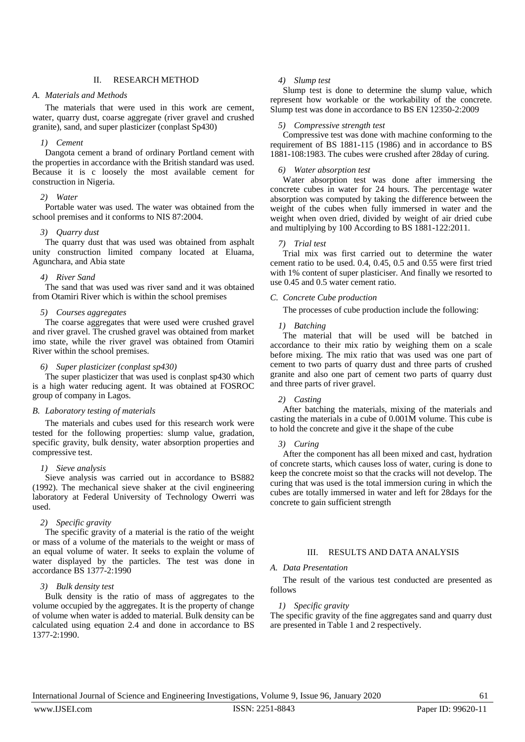# II. RESEARCH METHOD

## *A. Materials and Methods*

The materials that were used in this work are cement, water, quarry dust, coarse aggregate (river gravel and crushed granite), sand, and super plasticizer (conplast Sp430)

### *1) Cement*

Dangota cement a brand of ordinary Portland cement with the properties in accordance with the British standard was used. Because it is c loosely the most available cement for construction in Nigeria.

# *2) Water*

Portable water was used. The water was obtained from the school premises and it conforms to NIS 87:2004.

#### *3) Quarry dust*

The quarry dust that was used was obtained from asphalt unity construction limited company located at Eluama, Agunchara, and Abia state

# *4) River Sand*

The sand that was used was river sand and it was obtained from Otamiri River which is within the school premises

#### *5) Courses aggregates*

The coarse aggregates that were used were crushed gravel and river gravel. The crushed gravel was obtained from market imo state, while the river gravel was obtained from Otamiri River within the school premises.

#### *6) Super plasticizer (conplast sp430)*

The super plasticizer that was used is conplast sp430 which is a high water reducing agent. It was obtained at FOSROC group of company in Lagos.

#### *B. Laboratory testing of materials*

The materials and cubes used for this research work were tested for the following properties: slump value, gradation, specific gravity, bulk density, water absorption properties and compressive test.

# *1) Sieve analysis*

Sieve analysis was carried out in accordance to BS882 (1992). The mechanical sieve shaker at the civil engineering laboratory at Federal University of Technology Owerri was used.

#### *2) Specific gravity*

The specific gravity of a material is the ratio of the weight or mass of a volume of the materials to the weight or mass of an equal volume of water. It seeks to explain the volume of water displayed by the particles. The test was done in accordance BS 1377-2:1990

# *3) Bulk density test*

Bulk density is the ratio of mass of aggregates to the volume occupied by the aggregates. It is the property of change of volume when water is added to material. Bulk density can be calculated using equation 2.4 and done in accordance to BS 1377-2:1990.

# *4) Slump test*

Slump test is done to determine the slump value, which represent how workable or the workability of the concrete. Slump test was done in accordance to BS EN 12350-2:2009

#### *5) Compressive strength test*

Compressive test was done with machine conforming to the requirement of BS 1881-115 (1986) and in accordance to BS 1881-108:1983. The cubes were crushed after 28day of curing.

#### *6) Water absorption test*

Water absorption test was done after immersing the concrete cubes in water for 24 hours. The percentage water absorption was computed by taking the difference between the weight of the cubes when fully immersed in water and the weight when oven dried, divided by weight of air dried cube and multiplying by 100 According to BS 1881-122:2011.

#### *7) Trial test*

Trial mix was first carried out to determine the water cement ratio to be used. 0.4, 0.45, 0.5 and 0.55 were first tried with 1% content of super plasticiser. And finally we resorted to use 0.45 and 0.5 water cement ratio.

#### *C. Concrete Cube production*

The processes of cube production include the following:

#### *1) Batching*

The material that will be used will be batched in accordance to their mix ratio by weighing them on a scale before mixing. The mix ratio that was used was one part of cement to two parts of quarry dust and three parts of crushed granite and also one part of cement two parts of quarry dust and three parts of river gravel.

#### *2) Casting*

After batching the materials, mixing of the materials and casting the materials in a cube of 0.001M volume. This cube is to hold the concrete and give it the shape of the cube

#### *3) Curing*

After the component has all been mixed and cast, hydration of concrete starts, which causes loss of water, curing is done to keep the concrete moist so that the cracks will not develop. The curing that was used is the total immersion curing in which the cubes are totally immersed in water and left for 28days for the concrete to gain sufficient strength

# III. RESULTS AND DATA ANALYSIS

#### *A. Data Presentation*

The result of the various test conducted are presented as follows

#### *1) Specific gravity*

The specific gravity of the fine aggregates sand and quarry dust are presented in Table 1 and 2 respectively.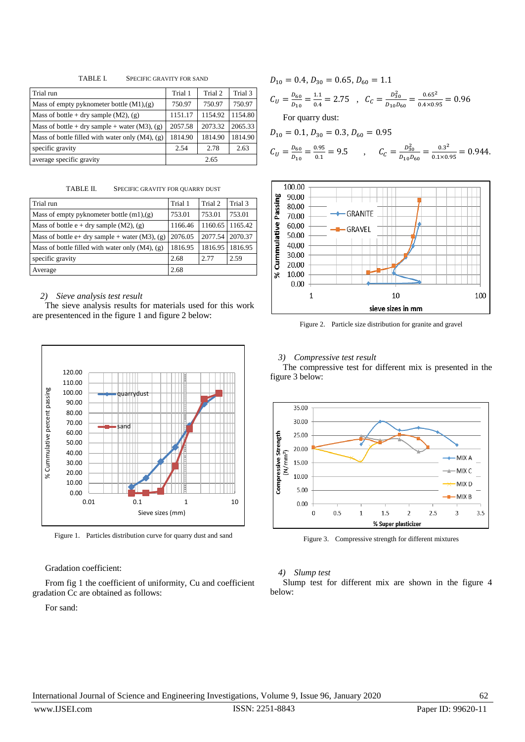TABLE I. SPECIFIC GRAVITY FOR SAND

| Trial run                                            | Trial 1 | Trial 2 | Trial 3 |
|------------------------------------------------------|---------|---------|---------|
| Mass of empty pyknometer bottle $(M1), (g)$          | 750.97  | 750.97  | 750.97  |
| Mass of bottle + dry sample $(M2)$ , $(g)$           | 1151.17 | 1154.92 | 1154.80 |
| Mass of bottle + dry sample + water (M3), (g)        | 2057.58 | 2073.32 | 2065.33 |
| Mass of bottle filled with water only $(M4)$ , $(g)$ | 1814.90 | 1814.90 | 1814.90 |
| specific gravity                                     | 2.54    | 2.78    | 2.63    |
| average specific gravity                             | 2.65    |         |         |

TABLE II. SPECIFIC GRAVITY FOR QUARRY DUST

| Trial run                                            | Trial 1 | Trial 2 | Trial 3 |
|------------------------------------------------------|---------|---------|---------|
| Mass of empty pyknometer bottle $(m1),(g)$           | 753.01  | 753.01  | 753.01  |
| Mass of bottle e + dry sample $(M2)$ , $(g)$         | 1166.46 | 1160.65 | 1165.42 |
| Mass of bottle e+ dry sample + water $(M3)$ , $(g)$  | 2076.05 | 2077.54 | 2070.37 |
| Mass of bottle filled with water only $(M4)$ , $(g)$ | 1816.95 | 1816.95 | 1816.95 |
| specific gravity                                     | 2.68    | 2.77    | 2.59    |
| Average                                              | 2.68    |         |         |

# *2) Sieve analysis test result*

The sieve analysis results for materials used for this work are presentenced in the figure 1 and figure 2 below:



Figure 1. Particles distribution curve for quarry dust and sand

# Gradation coefficient:

From fig 1 the coefficient of uniformity, Cu and coefficient gradation Cc are obtained as follows:

# For sand:

 $D_{10} = 0.4, D_{30} = 0.65, D_{60} = 1.1$  $C_U = \frac{D}{D}$  $\frac{D_{60}}{D_{10}} = \frac{1}{0}$  $\frac{1.1}{0.4} = 2.75$ ,  $C_C = \frac{D_3^2}{D_{10}l}$  $\frac{D_{30}^2}{D_{10}D_{60}} = \frac{0}{0.4}$  $\frac{0.65}{0.4 \times 0.95}$  = For quarry dust:

$$
D_{10} = 0.1, D_{30} = 0.3, D_{60} = 0.95
$$
  
\n
$$
C_U = \frac{D_{60}}{D_{10}} = \frac{0.95}{0.1} = 9.5
$$
, 
$$
C_C = \frac{D_{30}^2}{D_{10}D_{60}} = \frac{0.3^2}{0.1 \times 0.95} = 0.944.
$$



Figure 2. Particle size distribution for granite and gravel

#### *3) Compressive test result*

The compressive test for different mix is presented in the figure 3 below:



Figure 3. Compressive strength for different mixtures

# *4) Slump test*

Slump test for different mix are shown in the figure 4 below: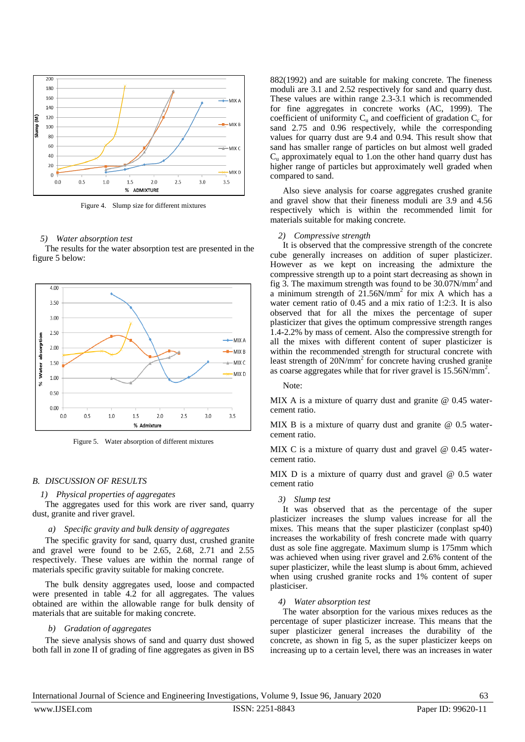

Figure 4. Slump size for different mixtures

#### *5) Water absorption test*

The results for the water absorption test are presented in the figure 5 below:



Figure 5. Water absorption of different mixtures

#### *B. DISCUSSION OF RESULTS*

#### *1) Physical properties of aggregates*

The aggregates used for this work are river sand, quarry dust, granite and river gravel.

#### *a) Specific gravity and bulk density of aggregates*

The specific gravity for sand, quarry dust, crushed granite and gravel were found to be 2.65, 2.68, 2.71 and 2.55 respectively. These values are within the normal range of materials specific gravity suitable for making concrete.

The bulk density aggregates used, loose and compacted were presented in table 4.2 for all aggregates. The values obtained are within the allowable range for bulk density of materials that are suitable for making concrete.

#### *b) Gradation of aggregates*

The sieve analysis shows of sand and quarry dust showed both fall in zone II of grading of fine aggregates as given in BS

882(1992) and are suitable for making concrete. The fineness moduli are 3.1 and 2.52 respectively for sand and quarry dust. These values are within range 2.3-3.1 which is recommended for fine aggregates in concrete works (AC, 1999). The coefficient of uniformity  $C_u$  and coefficient of gradation  $C_c$  for sand 2.75 and 0.96 respectively, while the corresponding values for quarry dust are 9.4 and 0.94. This result show that sand has smaller range of particles on but almost well graded  $C<sub>u</sub>$  approximately equal to 1.0n the other hand quarry dust has higher range of particles but approximately well graded when compared to sand.

Also sieve analysis for coarse aggregates crushed granite and gravel show that their fineness moduli are 3.9 and 4.56 respectively which is within the recommended limit for materials suitable for making concrete.

#### *2) Compressive strength*

It is observed that the compressive strength of the concrete cube generally increases on addition of super plasticizer. However as we kept on increasing the admixture the compressive strength up to a point start decreasing as shown in fig 3. The maximum strength was found to be  $30.07$ N/mm<sup>2</sup> and a minimum strength of  $21.56N/mm^2$  for mix A which has a water cement ratio of 0.45 and a mix ratio of 1:2:3. It is also observed that for all the mixes the percentage of super plasticizer that gives the optimum compressive strength ranges 1.4-2.2% by mass of cement. Also the compressive strength for all the mixes with different content of super plasticizer is within the recommended strength for structural concrete with least strength of 20N/mm<sup>2</sup> for concrete having crushed granite as coarse aggregates while that for river gravel is 15.56N/mm<sup>2</sup>.

Note:

MIX A is a mixture of quarry dust and granite @ 0.45 watercement ratio.

MIX B is a mixture of quarry dust and granite @ 0.5 watercement ratio.

MIX C is a mixture of quarry dust and gravel @ 0.45 watercement ratio.

MIX D is a mixture of quarry dust and gravel @ 0.5 water cement ratio

#### *3) Slump test*

It was observed that as the percentage of the super plasticizer increases the slump values increase for all the mixes. This means that the super plasticizer (conplast sp40) increases the workability of fresh concrete made with quarry dust as sole fine aggregate. Maximum slump is 175mm which was achieved when using river gravel and 2.6% content of the super plasticizer, while the least slump is about 6mm, achieved when using crushed granite rocks and 1% content of super plasticiser.

# *4) Water absorption test*

The water absorption for the various mixes reduces as the percentage of super plasticizer increase. This means that the super plasticizer general increases the durability of the concrete, as shown in fig 5, as the super plasticizer keeps on increasing up to a certain level, there was an increases in water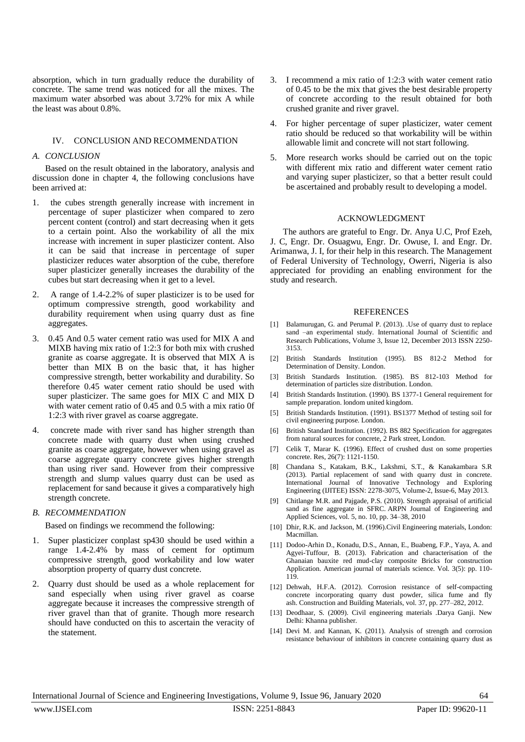absorption, which in turn gradually reduce the durability of concrete. The same trend was noticed for all the mixes. The maximum water absorbed was about 3.72% for mix A while the least was about 0.8%.

# IV. CONCLUSION AND RECOMMENDATION

#### *A. CONCLUSION*

Based on the result obtained in the laboratory, analysis and discussion done in chapter 4, the following conclusions have been arrived at:

- the cubes strength generally increase with increment in percentage of super plasticizer when compared to zero percent content (control) and start decreasing when it gets to a certain point. Also the workability of all the mix increase with increment in super plasticizer content. Also it can be said that increase in percentage of super plasticizer reduces water absorption of the cube, therefore super plasticizer generally increases the durability of the cubes but start decreasing when it get to a level.
- 2. A range of 1.4-2.2% of super plasticizer is to be used for optimum compressive strength, good workability and durability requirement when using quarry dust as fine aggregates.
- 3. 0.45 And 0.5 water cement ratio was used for MIX A and MIXB having mix ratio of 1:2:3 for both mix with crushed granite as coarse aggregate. It is observed that MIX A is better than MIX B on the basic that, it has higher compressive strength, better workability and durability. So therefore 0.45 water cement ratio should be used with super plasticizer. The same goes for MIX C and MIX D with water cement ratio of 0.45 and 0.5 with a mix ratio 0f 1:2:3 with river gravel as coarse aggregate.
- 4. concrete made with river sand has higher strength than concrete made with quarry dust when using crushed granite as coarse aggregate, however when using gravel as coarse aggregate quarry concrete gives higher strength than using river sand. However from their compressive strength and slump values quarry dust can be used as replacement for sand because it gives a comparatively high strength concrete.

# *B. RECOMMENDATION*

Based on findings we recommend the following:

- 1. Super plasticizer conplast sp430 should be used within a range 1.4-2.4% by mass of cement for optimum compressive strength, good workability and low water absorption property of quarry dust concrete.
- 2. Quarry dust should be used as a whole replacement for sand especially when using river gravel as coarse aggregate because it increases the compressive strength of river gravel than that of granite. Though more research should have conducted on this to ascertain the veracity of the statement.
- 3. I recommend a mix ratio of 1:2:3 with water cement ratio of 0.45 to be the mix that gives the best desirable property of concrete according to the result obtained for both crushed granite and river gravel.
- 4. For higher percentage of super plasticizer, water cement ratio should be reduced so that workability will be within allowable limit and concrete will not start following.
- 5. More research works should be carried out on the topic with different mix ratio and different water cement ratio and varying super plasticizer, so that a better result could be ascertained and probably result to developing a model.

# ACKNOWLEDGMENT

The authors are grateful to Engr. Dr. Anya U.C, Prof Ezeh, J. C, Engr. Dr. Osuagwu, Engr. Dr. Owuse, I. and Engr. Dr. Arimanwa, J. I, for their help in this research. The Management of Federal University of Technology, Owerri, Nigeria is also appreciated for providing an enabling environment for the study and research.

# **REFERENCES**

- [1] Balamurugan, G. and Perumal P. (2013). .Use of quarry dust to replace sand –an experimental study. International Journal of Scientific and Research Publications, Volume 3, Issue 12, December 2013 ISSN 2250- 3153.
- [2] British Standards Institution (1995). BS 812-2 Method for Determination of Density. London.
- [3] British Standards Institution. (1985). BS 812-103 Method for determination of particles size distribution. London.
- [4] British Standards Institution. (1990). BS 1377-1 General requirement for sample preparation. londom united kingdom.
- [5] British Standards Institution. (1991). BS1377 Method of testing soil for civil engineering purpose. London.
- [6] British Standard Institution. (1992). BS 882 Specification for aggregates from natural sources for concrete, 2 Park street, London.
- [7] Celik T, Marar K. (1996). Effect of crushed dust on some properties concrete. Res, 26(7): 1121-1150.
- [8] Chandana S., Katakam, B.K., Lakshmi, S.T., & Kanakambara S.R (2013). Partial replacement of sand with quarry dust in concrete. International Journal of Innovative Technology and Exploring Engineering (IJITEE) ISSN: 2278-3075, Volume-2, Issue-6, May 2013.
- [9] Chitlange M.R. and Pajgade, P.S. (2010). Strength appraisal of artificial sand as fine aggregate in SFRC. ARPN Journal of Engineering and Applied Sciences, vol. 5, no. 10, pp. 34–38, 2010
- [10] Dhir, R.K. and Jackson, M. (1996).Civil Engineering materials, London: Macmillan.
- [11] Dodoo-Arhin D., Konadu, D.S., Annan, E., Buabeng, F.P., Yaya, A. and Agyei-Tuffour, B. (2013). Fabrication and characterisation of the Ghanaian bauxite red mud-clay composite Bricks for construction Application. American journal of materials science. Vol. 3(5): pp. 110- 119.
- [12] Dehwah, H.F.A. (2012). Corrosion resistance of self-compacting concrete incorporating quarry dust powder, silica fume and fly ash. Construction and Building Materials, vol. 37, pp. 277–282, 2012.
- [13] Deodhaar, S. (2009). Civil engineering materials .Darya Ganji. New Delhi: Khanna publisher.
- [14] Devi M. and Kannan, K. (2011). Analysis of strength and corrosion resistance behaviour of inhibitors in concrete containing quarry dust as